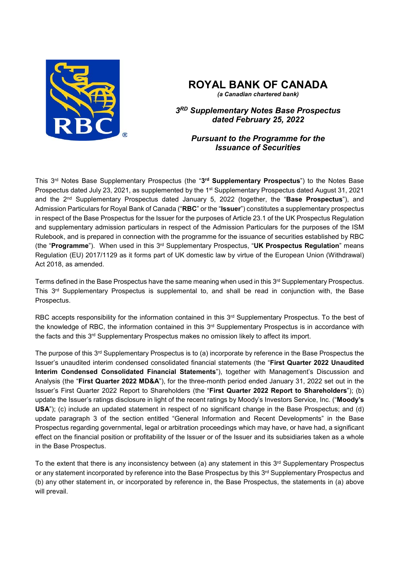

# **ROYAL BANK OF CANADA**

*(a Canadian chartered bank)*

*3RD Supplementary Notes Base Prospectus dated February 25, 2022* 

## *Pursuant to the Programme for the Issuance of Securities*

This 3rd Notes Base Supplementary Prospectus (the "**3rd Supplementary Prospectus**") to the Notes Base Prospectus dated July 23, 2021, as supplemented by the 1<sup>st</sup> Supplementary Prospectus dated August 31, 2021 and the 2nd Supplementary Prospectus dated January 5, 2022 (together, the "**Base Prospectus**"), and Admission Particulars for Royal Bank of Canada ("**RBC**" or the "**Issuer**") constitutes a supplementary prospectus in respect of the Base Prospectus for the Issuer for the purposes of Article 23.1 of the UK Prospectus Regulation and supplementary admission particulars in respect of the Admission Particulars for the purposes of the ISM Rulebook, and is prepared in connection with the programme for the issuance of securities established by RBC (the "**Programme**"). When used in this 3rd Supplementary Prospectus, "**UK Prospectus Regulation**" means Regulation (EU) 2017/1129 as it forms part of UK domestic law by virtue of the European Union (Withdrawal) Act 2018, as amended.

Terms defined in the Base Prospectus have the same meaning when used in this 3<sup>rd</sup> Supplementary Prospectus. This 3rd Supplementary Prospectus is supplemental to, and shall be read in conjunction with, the Base Prospectus.

RBC accepts responsibility for the information contained in this 3<sup>rd</sup> Supplementary Prospectus. To the best of the knowledge of RBC, the information contained in this 3<sup>rd</sup> Supplementary Prospectus is in accordance with the facts and this 3<sup>rd</sup> Supplementary Prospectus makes no omission likely to affect its import.

The purpose of this 3rd Supplementary Prospectus is to (a) incorporate by reference in the Base Prospectus the Issuer's unaudited interim condensed consolidated financial statements (the "**First Quarter 2022 Unaudited Interim Condensed Consolidated Financial Statements**"), together with Management's Discussion and Analysis (the "**First Quarter 2022 MD&A**"), for the three-month period ended January 31, 2022 set out in the Issuer's First Quarter 2022 Report to Shareholders (the "**First Quarter 2022 Report to Shareholders**"); (b) update the Issuer's ratings disclosure in light of the recent ratings by Moody's Investors Service, Inc. ("**Moody's USA**"); (c) include an updated statement in respect of no significant change in the Base Prospectus; and (d) update paragraph 3 of the section entitled "General Information and Recent Developments" in the Base Prospectus regarding governmental, legal or arbitration proceedings which may have, or have had, a significant effect on the financial position or profitability of the Issuer or of the Issuer and its subsidiaries taken as a whole in the Base Prospectus.

To the extent that there is any inconsistency between (a) any statement in this 3<sup>rd</sup> Supplementary Prospectus or any statement incorporated by reference into the Base Prospectus by this 3<sup>rd</sup> Supplementary Prospectus and (b) any other statement in, or incorporated by reference in, the Base Prospectus, the statements in (a) above will prevail.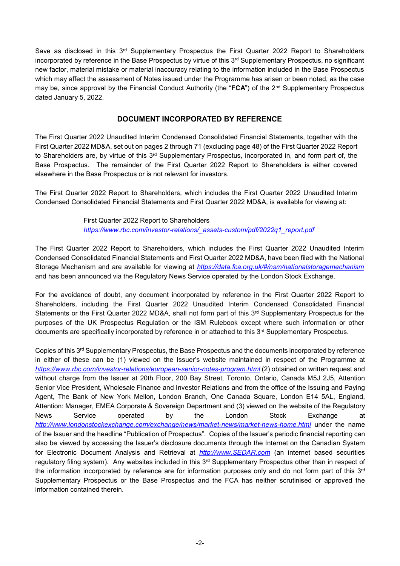Save as disclosed in this  $3<sup>rd</sup>$  Supplementary Prospectus the First Quarter 2022 Report to Shareholders incorporated by reference in the Base Prospectus by virtue of this  $3<sup>rd</sup>$  Supplementary Prospectus, no significant new factor, material mistake or material inaccuracy relating to the information included in the Base Prospectus which may affect the assessment of Notes issued under the Programme has arisen or been noted, as the case may be, since approval by the Financial Conduct Authority (the "**FCA**") of the 2nd Supplementary Prospectus dated January 5, 2022.

## **DOCUMENT INCORPORATED BY REFERENCE**

The First Quarter 2022 Unaudited Interim Condensed Consolidated Financial Statements, together with the First Quarter 2022 MD&A, set out on pages 2 through 71 (excluding page 48) of the First Quarter 2022 Report to Shareholders are, by virtue of this 3<sup>rd</sup> Supplementary Prospectus, incorporated in, and form part of, the Base Prospectus. The remainder of the First Quarter 2022 Report to Shareholders is either covered elsewhere in the Base Prospectus or is not relevant for investors.

The First Quarter 2022 Report to Shareholders, which includes the First Quarter 2022 Unaudited Interim Condensed Consolidated Financial Statements and First Quarter 2022 MD&A, is available for viewing at:

> First Quarter 2022 Report to Shareholders *https://www.rbc.com/investor-relations/\_assets-custom/pdf/2022q1\_report.pdf*

The First Quarter 2022 Report to Shareholders, which includes the First Quarter 2022 Unaudited Interim Condensed Consolidated Financial Statements and First Quarter 2022 MD&A, have been filed with the National Storage Mechanism and are available for viewing at *https://data.fca.org.uk/#/nsm/nationalstoragemechanism*  and has been announced via the Regulatory News Service operated by the London Stock Exchange.

For the avoidance of doubt, any document incorporated by reference in the First Quarter 2022 Report to Shareholders, including the First Quarter 2022 Unaudited Interim Condensed Consolidated Financial Statements or the First Quarter 2022 MD&A, shall not form part of this 3<sup>rd</sup> Supplementary Prospectus for the purposes of the UK Prospectus Regulation or the ISM Rulebook except where such information or other documents are specifically incorporated by reference in or attached to this 3rd Supplementary Prospectus.

Copies of this 3<sup>rd</sup> Supplementary Prospectus, the Base Prospectus and the documents incorporated by reference in either of these can be (1) viewed on the Issuer's website maintained in respect of the Programme at *https://www.rbc.com/investor-relations/european-senior-notes-program.html* (2) obtained on written request and without charge from the Issuer at 20th Floor, 200 Bay Street, Toronto, Ontario, Canada M5J 2J5, Attention Senior Vice President, Wholesale Finance and Investor Relations and from the office of the Issuing and Paying Agent, The Bank of New York Mellon, London Branch, One Canada Square, London E14 5AL, England, Attention: Manager, EMEA Corporate & Sovereign Department and (3) viewed on the website of the Regulatory News Service operated by the London Stock Exchange at http://www.londonstockexchange.com/exchange/news/market-news/market-news-home.html under the name of the Issuer and the headline "Publication of Prospectus". Copies of the Issuer's periodic financial reporting can also be viewed by accessing the Issuer's disclosure documents through the Internet on the Canadian System for Electronic Document Analysis and Retrieval at *http://www.SEDAR.com* (an internet based securities regulatory filing system). Any websites included in this 3<sup>rd</sup> Supplementary Prospectus other than in respect of the information incorporated by reference are for information purposes only and do not form part of this 3<sup>rd</sup> Supplementary Prospectus or the Base Prospectus and the FCA has neither scrutinised or approved the information contained therein.